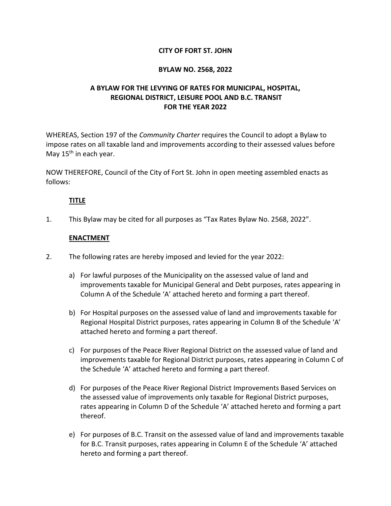## **CITY OF FORT ST. JOHN**

### **BYLAW NO. 2568, 2022**

# **A BYLAW FOR THE LEVYING OF RATES FOR MUNICIPAL, HOSPITAL, REGIONAL DISTRICT, LEISURE POOL AND B.C. TRANSIT FOR THE YEAR 2022**

WHEREAS, Section 197 of the *Community Charter* requires the Council to adopt a Bylaw to impose rates on all taxable land and improvements according to their assessed values before May  $15<sup>th</sup>$  in each year.

NOW THEREFORE, Council of the City of Fort St. John in open meeting assembled enacts as follows:

### **TITLE**

1. This Bylaw may be cited for all purposes as "Tax Rates Bylaw No. 2568, 2022".

### **ENACTMENT**

- 2. The following rates are hereby imposed and levied for the year 2022:
	- a) For lawful purposes of the Municipality on the assessed value of land and improvements taxable for Municipal General and Debt purposes, rates appearing in Column A of the Schedule 'A' attached hereto and forming a part thereof.
	- b) For Hospital purposes on the assessed value of land and improvements taxable for Regional Hospital District purposes, rates appearing in Column B of the Schedule 'A' attached hereto and forming a part thereof.
	- c) For purposes of the Peace River Regional District on the assessed value of land and improvements taxable for Regional District purposes, rates appearing in Column C of the Schedule 'A' attached hereto and forming a part thereof.
	- d) For purposes of the Peace River Regional District Improvements Based Services on the assessed value of improvements only taxable for Regional District purposes, rates appearing in Column D of the Schedule 'A' attached hereto and forming a part thereof.
	- e) For purposes of B.C. Transit on the assessed value of land and improvements taxable for B.C. Transit purposes, rates appearing in Column E of the Schedule 'A' attached hereto and forming a part thereof.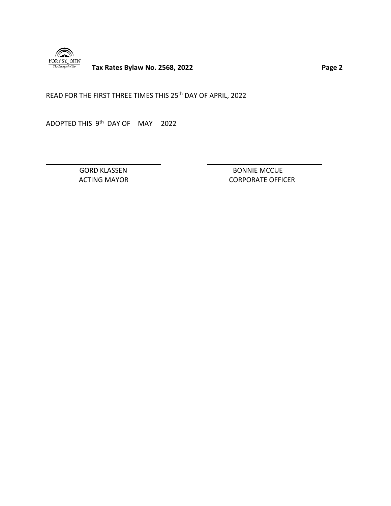

**Tax Rates Bylaw No. 2568, 2022 Page 2** 

READ FOR THE FIRST THREE TIMES THIS 25<sup>th</sup> DAY OF APRIL, 2022

ADOPTED THIS 9<sup>th</sup> DAY OF MAY 2022

GORD KLASSEN BONNIE MCCUE ACTING MAYOR **CORPORATE OFFICER**